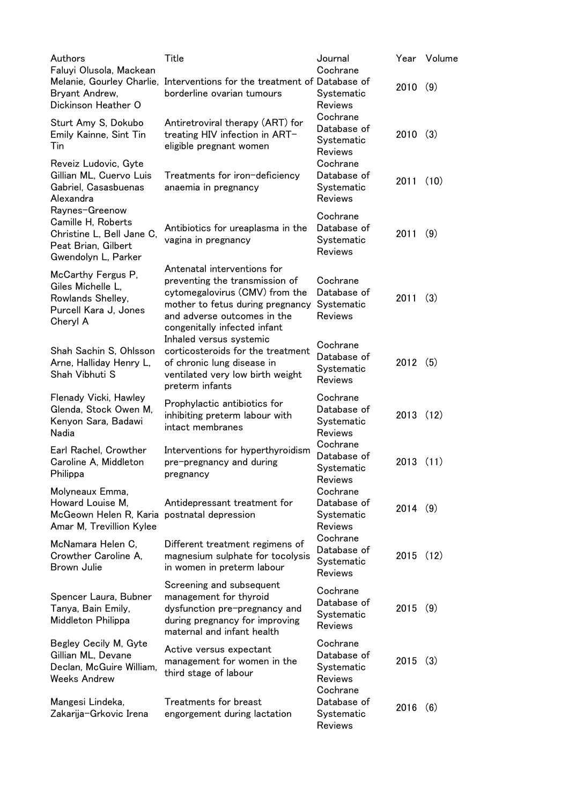| Authors<br>Faluyi Olusola, Mackean                                                                              | Title                                                                                                                                                                                              | Journal<br>Cochrane                                     |         | Year Volume |
|-----------------------------------------------------------------------------------------------------------------|----------------------------------------------------------------------------------------------------------------------------------------------------------------------------------------------------|---------------------------------------------------------|---------|-------------|
| Bryant Andrew,<br>Dickinson Heather O                                                                           | Melanie, Gourley Charlie, Interventions for the treatment of Database of<br>borderline ovarian tumours                                                                                             | Systematic<br><b>Reviews</b>                            | 2010    | (9)         |
| Sturt Amy S, Dokubo<br>Emily Kainne, Sint Tin<br>Tin                                                            | Antiretroviral therapy (ART) for<br>treating HIV infection in ART-<br>eligible pregnant women                                                                                                      | Cochrane<br>Database of<br>Systematic<br><b>Reviews</b> | 2010    | (3)         |
| Reveiz Ludovic, Gyte<br>Gillian ML, Cuervo Luis<br>Gabriel, Casasbuenas<br>Alexandra                            | Treatments for iron-deficiency<br>anaemia in pregnancy                                                                                                                                             | Cochrane<br>Database of<br>Systematic<br><b>Reviews</b> | 2011    | (10)        |
| Raynes-Greenow<br>Camille H, Roberts<br>Christine L, Bell Jane C,<br>Peat Brian, Gilbert<br>Gwendolyn L, Parker | Antibiotics for ureaplasma in the<br>vagina in pregnancy                                                                                                                                           | Cochrane<br>Database of<br>Systematic<br><b>Reviews</b> | 2011    | (9)         |
| McCarthy Fergus P,<br>Giles Michelle L.<br>Rowlands Shelley,<br>Purcell Kara J, Jones<br>Cheryl A               | Antenatal interventions for<br>preventing the transmission of<br>cytomegalovirus (CMV) from the<br>mother to fetus during pregnancy<br>and adverse outcomes in the<br>congenitally infected infant | Cochrane<br>Database of<br>Systematic<br><b>Reviews</b> | 2011    | (3)         |
| Shah Sachin S, Ohlsson<br>Arne, Halliday Henry L,<br>Shah Vibhuti S                                             | Inhaled versus systemic<br>corticosteroids for the treatment<br>of chronic lung disease in<br>ventilated very low birth weight<br>preterm infants                                                  | Cochrane<br>Database of<br>Systematic<br>Reviews        | 2012(5) |             |
| Flenady Vicki, Hawley<br>Glenda, Stock Owen M,<br>Kenyon Sara, Badawi<br>Nadia                                  | Prophylactic antibiotics for<br>inhibiting preterm labour with<br>intact membranes                                                                                                                 | Cochrane<br>Database of<br>Systematic<br>Reviews        | 2013    | (12)        |
| Earl Rachel, Crowther<br>Caroline A, Middleton<br>Philippa                                                      | Interventions for hyperthyroidism<br>pre-pregnancy and during<br>pregnancy                                                                                                                         | Cochrane<br>Database of<br>Systematic<br>Reviews        | 2013    | (11)        |
| Molyneaux Emma,<br>Howard Louise M,<br>McGeown Helen R, Karia postnatal depression<br>Amar M, Trevillion Kylee  | Antidepressant treatment for                                                                                                                                                                       | Cochrane<br>Database of<br>Systematic<br><b>Reviews</b> | 2014(9) |             |
| McNamara Helen C,<br>Crowther Caroline A,<br>Brown Julie                                                        | Different treatment regimens of<br>magnesium sulphate for tocolysis<br>in women in preterm labour                                                                                                  | Cochrane<br>Database of<br>Systematic<br>Reviews        | 2015    | (12)        |
| Spencer Laura, Bubner<br>Tanya, Bain Emily,<br>Middleton Philippa                                               | Screening and subsequent<br>management for thyroid<br>dysfunction pre-pregnancy and<br>during pregnancy for improving<br>maternal and infant health                                                | Cochrane<br>Database of<br>Systematic<br><b>Reviews</b> | 2015    | (9)         |
| Begley Cecily M, Gyte<br>Gillian ML, Devane<br>Declan, McGuire William,<br><b>Weeks Andrew</b>                  | Active versus expectant<br>management for women in the<br>third stage of labour                                                                                                                    | Cochrane<br>Database of<br>Systematic<br>Reviews        | 2015    | (3)         |
| Mangesi Lindeka,<br>Zakarija-Grkovic Irena                                                                      | Treatments for breast<br>engorgement during lactation                                                                                                                                              | Cochrane<br>Database of<br>Systematic<br>Reviews        | 2016    | (6)         |